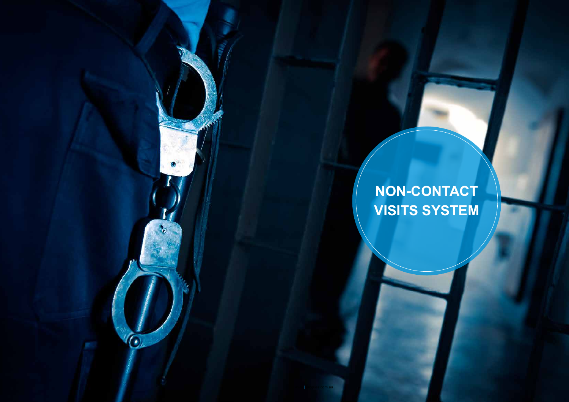**NON-CONTACT VISITS SYSTEM**

www | jacques.com.au

 $\mathbf{O}_k$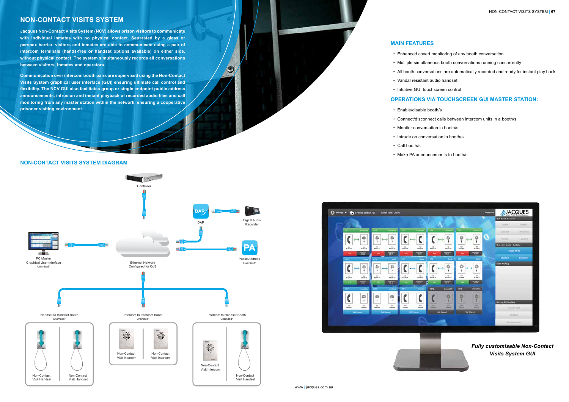

 $\bullet$ 

### **NON-CONTACT VISITS SYSTEM DIAGRAM**

*Fully customisable Non-Contact Visits System GUI*

### **MAIN FEATURES**

- Multiple simultaneous booth conversations running concurrently
- All booth conversations are automatically recorded and ready for instant play back
	-
	-
	-
	-
	-
- Enhanced covert monitoring of any booth conversation
- 
- 
- Vandal resistant audio handset
- Intuitive GUI touchscreen control

## **OPERATIONS VIA TOUCHSCREEN GUI MASTER STATION:**

- Enable/disable booth/s
- Connect/disconnect calls between intercom units in a booth/s
- Monitor conversation in booth/s
- Intrude on conversation in booth/s
- Call booth/s
- 



• Make PA announcements to booth/s

# **NON-CONTACT VISITS SYSTEM**

**Jacques Non-Contact Visits System (NCV) allows prison visitors to communicate with individual inmates with no physical contact. Separated by a glass or perspex barrier, visitors and inmates are able to communicate using a pair of intercom terminals (hands-free or handset options available) on either side, without physical contact. The system simultaneously records all conversations between visitors, inmates and operators.** 

**Communication over intercom booth pairs are supervised using the Non-Contact Visits System graphical user interface (GUI) ensuring ultimate call control and flexibility. The NCV GUI also facilitates group or single endpoint public address announcements, intrusion and instant playback of recorded audio files and call monitoring from any master station within the network, ensuring a cooperative prisoner visiting environment.**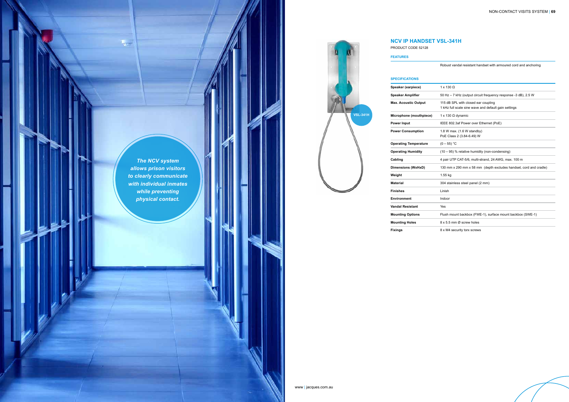# *The NCV system allows prison visitors to clearly communicate with individual inmates while preventing physical contact.*

 $\frac{1}{3}$ 



**NCV IP HANDSET VSL-341H**

PRODUCT CODE 52128

**FEATURES**

Robust vandal resistant handset with armoured cord and anchoring

### **SPECIFICATIONS**

| Speaker (earpiece)           | $1 \times 130 \Omega$                                                                       |
|------------------------------|---------------------------------------------------------------------------------------------|
| <b>Speaker Amplifier</b>     | 50 Hz - 7 kHz (output circuit frequency response -3 dB), 2.5 W                              |
| <b>Max. Acoustic Output</b>  | 115 dB SPL with closed ear coupling<br>1 kHz full scale sine wave and default gain settings |
| Microphone (mouthpiece)      | 1 x 130 $\Omega$ dynamic                                                                    |
| Power Input                  | IEEE 802.3af Power over Ethernet (PoE)                                                      |
| <b>Power Consumption</b>     | 1.8 W max. (1.6 W standby)<br>PoE Class 2 (3.84-6.49) W                                     |
| <b>Operating Temperature</b> | $(0 - 55)$ °C                                                                               |
| <b>Operating Humidity</b>    | $(10 - 95)$ % relative humidity (non-condensing)                                            |
| Cabling                      | 4 pair UTP CAT-5/6, multi-strand, 24 AWG, max. 100 m                                        |
| Dimensions (WxHxD)           | 130 mm x 290 mm x 58 mm (depth excludes handset, cord and cradle)                           |
| Weight                       | 1.55 kg                                                                                     |
| Material                     | 304 stainless steel panel (2 mm)                                                            |
| <b>Finishes</b>              | Linish                                                                                      |
| <b>Environment</b>           | Indoor                                                                                      |
| <b>Vandal Resistant</b>      | Yes                                                                                         |
| <b>Mounting Options</b>      | Flush mount backbox (FWE-1), surface mount backbox (SWE-1)                                  |
| <b>Mounting Holes</b>        | 8 x 5.5 mm Ø screw holes                                                                    |
| <b>Fixings</b>               | 8 x M4 security torx screws                                                                 |